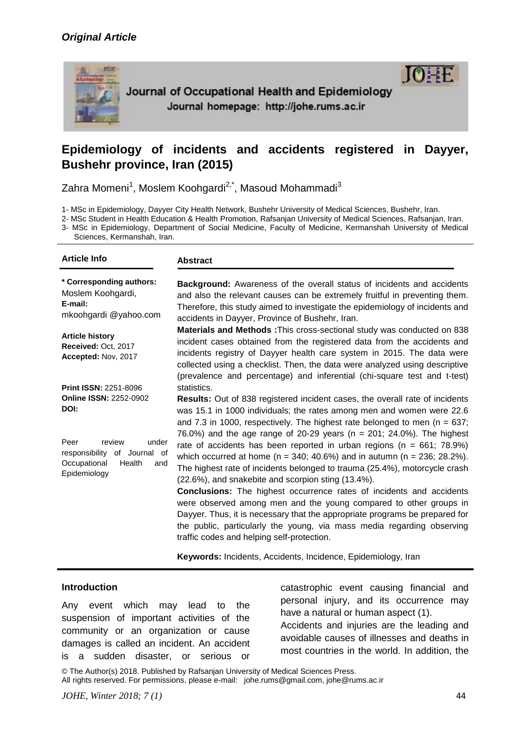# *Original Article*



Journal of Occupational Health and Epidemiology Journal homepage: http://johe.rums.ac.ir

# **Epidemiology of incidents and accidents registered in Dayyer, Bushehr province, Iran (2015)**

Zahra Momeni<sup>1</sup>, Moslem Koohgardi<sup>2,\*</sup>, Masoud Mohammadi<sup>3</sup>

1- MSc in Epidemiology, Dayyer City Health Network, Bushehr University of Medical Sciences, Bushehr, Iran.

2- MSc Student in Health Education & Health Promotion, Rafsanjan University of Medical Sciences, Rafsanjan, Iran.

3- MSc in Epidemiology, Department of Social Medicine, Faculty of Medicine, Kermanshah University of Medical Sciences, Kermanshah, Iran.

| <b>Article Info</b>                                                                                                                                                               | <b>Abstract</b>                                                                                                                                                                                                                                                                                                                                                                                                                                                                                                                                                                                                                                                                                                                                                                                                                                                                                                                                                                                          |
|-----------------------------------------------------------------------------------------------------------------------------------------------------------------------------------|----------------------------------------------------------------------------------------------------------------------------------------------------------------------------------------------------------------------------------------------------------------------------------------------------------------------------------------------------------------------------------------------------------------------------------------------------------------------------------------------------------------------------------------------------------------------------------------------------------------------------------------------------------------------------------------------------------------------------------------------------------------------------------------------------------------------------------------------------------------------------------------------------------------------------------------------------------------------------------------------------------|
| * Corresponding authors:<br>Moslem Koohgardi,<br>E-mail:<br>mkoohgardi @yahoo.com                                                                                                 | Background: Awareness of the overall status of incidents and accidents<br>and also the relevant causes can be extremely fruitful in preventing them.<br>Therefore, this study aimed to investigate the epidemiology of incidents and<br>accidents in Dayyer, Province of Bushehr, Iran.                                                                                                                                                                                                                                                                                                                                                                                                                                                                                                                                                                                                                                                                                                                  |
| <b>Article history</b><br>Received: Oct, 2017<br>Accepted: Nov, 2017                                                                                                              | <b>Materials and Methods: This cross-sectional study was conducted on 838</b><br>incident cases obtained from the registered data from the accidents and<br>incidents registry of Dayyer health care system in 2015. The data were<br>collected using a checklist. Then, the data were analyzed using descriptive<br>(prevalence and percentage) and inferential (chi-square test and t-test)                                                                                                                                                                                                                                                                                                                                                                                                                                                                                                                                                                                                            |
| <b>Print ISSN: 2251-8096</b><br><b>Online ISSN: 2252-0902</b><br>DOI:<br>Peer<br>review<br>under<br>responsibility of Journal of<br>Health<br>Occupational<br>and<br>Epidemiology | statistics.<br><b>Results:</b> Out of 838 registered incident cases, the overall rate of incidents<br>was 15.1 in 1000 individuals; the rates among men and women were 22.6<br>and 7.3 in 1000, respectively. The highest rate belonged to men ( $n = 637$ ;<br>76.0%) and the age range of 20-29 years ( $n = 201$ ; 24.0%). The highest<br>rate of accidents has been reported in urban regions ( $n = 661$ ; 78.9%)<br>which occurred at home ( $n = 340$ ; 40.6%) and in autumn ( $n = 236$ ; 28.2%).<br>The highest rate of incidents belonged to trauma (25.4%), motorcycle crash<br>(22.6%), and snakebite and scorpion sting (13.4%).<br><b>Conclusions:</b> The highest occurrence rates of incidents and accidents<br>were observed among men and the young compared to other groups in<br>Dayyer. Thus, it is necessary that the appropriate programs be prepared for<br>the public, particularly the young, via mass media regarding observing<br>traffic codes and helping self-protection. |

**Keywords:** Incidents, Accidents, Incidence, Epidemiology, Iran

#### **Introduction**

Any event which may lead to the suspension of important activities of the community or an organization or cause damages is called an incident. An accident is a sudden disaster, or serious or

catastrophic event causing financial and personal injury, and its occurrence may have a natural or human aspect (1).

**TO:** 

Accidents and injuries are the leading and avoidable causes of illnesses and deaths in most countries in the world. In addition, the

© The Author(s) 2018. Published by Rafsanjan University of Medical Sciences Press. All rights reserved. For permissions, please e-mail: johe.rums@gmail.com, johe@rums.ac.ir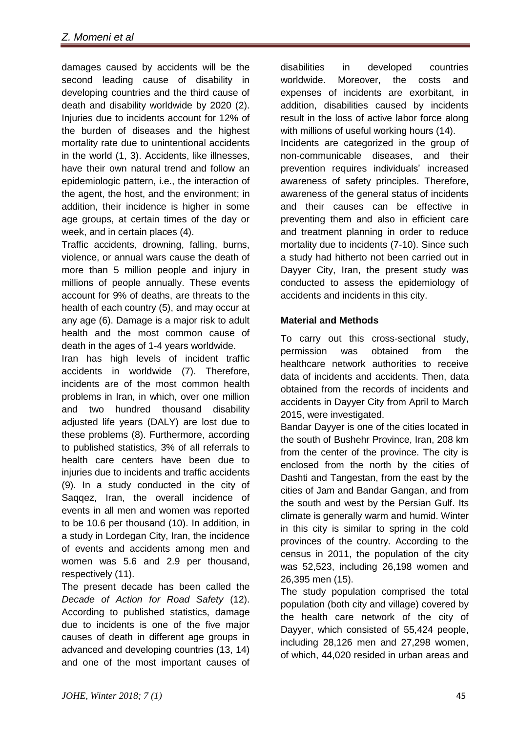damages caused by accidents will be the second leading cause of disability in developing countries and the third cause of death and disability worldwide by 2020 (2). Injuries due to incidents account for 12% of the burden of diseases and the highest mortality rate due to unintentional accidents in the world (1, 3). Accidents, like illnesses, have their own natural trend and follow an epidemiologic pattern, i.e., the interaction of the agent, the host, and the environment; in addition, their incidence is higher in some age groups, at certain times of the day or week, and in certain places (4).

Traffic accidents, drowning, falling, burns, violence, or annual wars cause the death of more than 5 million people and injury in millions of people annually. These events account for 9% of deaths, are threats to the health of each country (5), and may occur at any age (6). Damage is a major risk to adult health and the most common cause of death in the ages of 1-4 years worldwide.

Iran has high levels of incident traffic accidents in worldwide (7). Therefore, incidents are of the most common health problems in Iran, in which, over one million and two hundred thousand disability adjusted life years (DALY) are lost due to these problems (8). Furthermore, according to published statistics, 3% of all referrals to health care centers have been due to injuries due to incidents and traffic accidents (9). In a study conducted in the city of Saqqez, Iran, the overall incidence of events in all men and women was reported to be 10.6 per thousand (10). In addition, in a study in Lordegan City, Iran, the incidence of events and accidents among men and women was 5.6 and 2.9 per thousand, respectively (11).

The present decade has been called the *Decade of Action for Road Safety* (12). According to published statistics, damage due to incidents is one of the five major causes of death in different age groups in advanced and developing countries (13, 14) and one of the most important causes of disabilities in developed countries worldwide. Moreover, the costs and expenses of incidents are exorbitant, in addition, disabilities caused by incidents result in the loss of active labor force along with millions of useful working hours (14). Incidents are categorized in the group of non-communicable diseases, and their prevention requires individuals' increased awareness of safety principles. Therefore, awareness of the general status of incidents and their causes can be effective in preventing them and also in efficient care and treatment planning in order to reduce mortality due to incidents (7-10). Since such a study had hitherto not been carried out in Dayyer City, Iran, the present study was conducted to assess the epidemiology of accidents and incidents in this city.

# **Material and Methods**

To carry out this cross-sectional study, permission was obtained from the healthcare network authorities to receive data of incidents and accidents. Then, data obtained from the records of incidents and accidents in Dayyer City from April to March 2015, were investigated.

Bandar Dayyer is one of the cities located in the south of Bushehr Province, Iran, 208 km from the center of the province. The city is enclosed from the north by the cities of Dashti and Tangestan, from the east by the cities of Jam and Bandar Gangan, and from the south and west by the Persian Gulf. Its climate is generally warm and humid. Winter in this city is similar to spring in the cold provinces of the country. According to the census in 2011, the population of the city was 52,523, including 26,198 women and 26,395 men (15).

The study population comprised the total population (both city and village) covered by the health care network of the city of Dayyer, which consisted of 55,424 people, including 28,126 men and 27,298 women, of which, 44,020 resided in urban areas and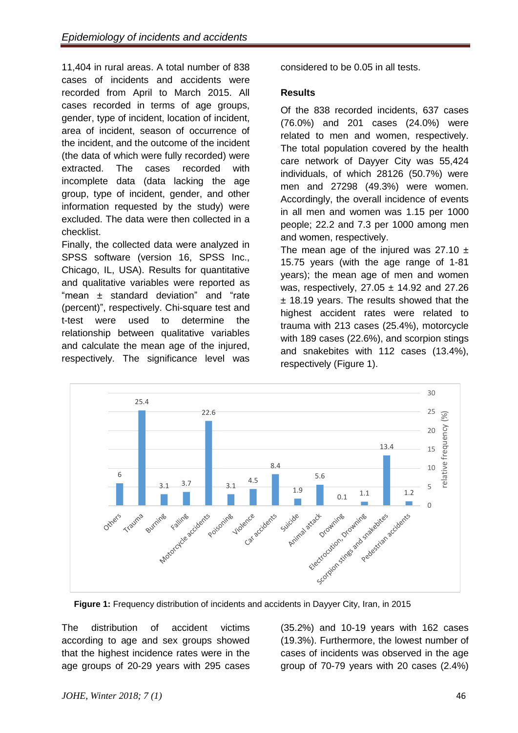11,404 in rural areas. A total number of 838 cases of incidents and accidents were recorded from April to March 2015. All cases recorded in terms of age groups, gender, type of incident, location of incident, area of incident, season of occurrence of the incident, and the outcome of the incident (the data of which were fully recorded) were extracted. The cases recorded with incomplete data (data lacking the age group, type of incident, gender, and other information requested by the study) were excluded. The data were then collected in a checklist.

Finally, the collected data were analyzed in SPSS software (version 16, SPSS Inc., Chicago, IL, USA). Results for quantitative and qualitative variables were reported as "mean ± standard deviation" and "rate (percent)", respectively. Chi-square test and t-test were used to determine the relationship between qualitative variables and calculate the mean age of the injured, respectively. The significance level was

considered to be 0.05 in all tests.

### **Results**

Of the 838 recorded incidents, 637 cases (76.0%) and 201 cases (24.0%) were related to men and women, respectively. The total population covered by the health care network of Dayyer City was 55,424 individuals, of which 28126 (50.7%) were men and 27298 (49.3%) were women. Accordingly, the overall incidence of events in all men and women was 1.15 per 1000 people; 22.2 and 7.3 per 1000 among men and women, respectively.

The mean age of the injured was  $27.10 \pm$ 15.75 years (with the age range of 1-81 years); the mean age of men and women was, respectively, 27.05 ± 14.92 and 27.26 ± 18.19 years. The results showed that the highest accident rates were related to trauma with 213 cases (25.4%), motorcycle with 189 cases (22.6%), and scorpion stings and snakebites with 112 cases (13.4%), respectively (Figure 1).



**Figure 1:** Frequency distribution of incidents and accidents in Dayyer City, Iran, in 2015

The distribution of accident victims according to age and sex groups showed that the highest incidence rates were in the age groups of 20-29 years with 295 cases

(35.2%) and 10-19 years with 162 cases (19.3%). Furthermore, the lowest number of cases of incidents was observed in the age group of 70-79 years with 20 cases (2.4%)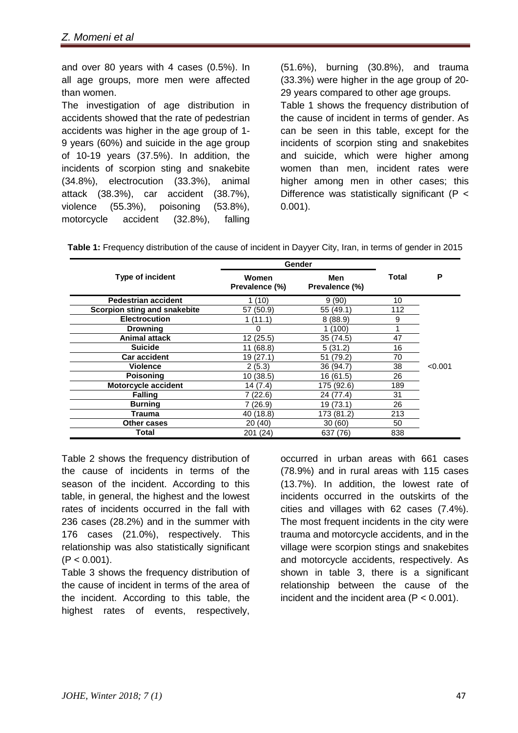and over 80 years with 4 cases (0.5%). In all age groups, more men were affected than women.

The investigation of age distribution in accidents showed that the rate of pedestrian accidents was higher in the age group of 1- 9 years (60%) and suicide in the age group of 10-19 years (37.5%). In addition, the incidents of scorpion sting and snakebite (34.8%), electrocution (33.3%), animal attack (38.3%), car accident (38.7%), violence (55.3%), poisoning (53.8%), motorcycle accident (32.8%), falling

(51.6%), burning (30.8%), and trauma (33.3%) were higher in the age group of 20- 29 years compared to other age groups. Table 1 shows the frequency distribution of the cause of incident in terms of gender. As can be seen in this table, except for the incidents of scorpion sting and snakebites and suicide, which were higher among women than men, incident rates were higher among men in other cases; this Difference was statistically significant (P < 0.001).

|                              | Gender                  |                       | P   |         |
|------------------------------|-------------------------|-----------------------|-----|---------|
| Type of incident             | Women<br>Prevalence (%) | Men<br>Prevalence (%) |     |         |
| <b>Pedestrian accident</b>   | 1(10)                   | 9(90)                 | 10  |         |
| Scorpion sting and snakebite | 57 (50.9)               | 55 (49.1)             | 112 |         |
| <b>Electrocution</b>         | 1 (11.1)                | 8(88.9)               | 9   |         |
| <b>Drowning</b>              | 0                       | 1 (100)               | 4   |         |
| <b>Animal attack</b>         | 12(25.5)                | 35 (74.5)             | 47  |         |
| <b>Suicide</b>               | 11 (68.8)               | 5(31.2)               | 16  |         |
| <b>Car accident</b>          | 19(27.1)                | 51 (79.2)             | 70  |         |
| Violence                     | 2(5.3)                  | 36 (94.7)             | 38  | < 0.001 |
| <b>Poisoning</b>             | 10(38.5)                | 16 (61.5)             | 26  |         |
| Motorcycle accident          | 14 (7.4)                | 175 (92.6)            | 189 |         |
| <b>Falling</b>               | 7(22.6)                 | 24 (77.4)             | 31  |         |
| <b>Burning</b>               | 7 (26.9)                | 19 (73.1)             | 26  |         |
| Trauma                       | 40 (18.8)               | 173 (81.2)            | 213 |         |
| Other cases                  | 20 (40)                 | 30 (60)               | 50  |         |
| Total                        | 201 (24)                | 637 (76)              | 838 |         |

**Table 1:** Frequency distribution of the cause of incident in Dayyer City, Iran, in terms of gender in 2015

Table 2 shows the frequency distribution of the cause of incidents in terms of the season of the incident. According to this table, in general, the highest and the lowest rates of incidents occurred in the fall with 236 cases (28.2%) and in the summer with 176 cases (21.0%), respectively. This relationship was also statistically significant  $(P < 0.001)$ .

Table 3 shows the frequency distribution of the cause of incident in terms of the area of the incident. According to this table, the highest rates of events, respectively,

occurred in urban areas with 661 cases (78.9%) and in rural areas with 115 cases (13.7%). In addition, the lowest rate of incidents occurred in the outskirts of the cities and villages with 62 cases (7.4%). The most frequent incidents in the city were trauma and motorcycle accidents, and in the village were scorpion stings and snakebites and motorcycle accidents, respectively. As shown in table 3, there is a significant relationship between the cause of the incident and the incident area  $(P < 0.001)$ .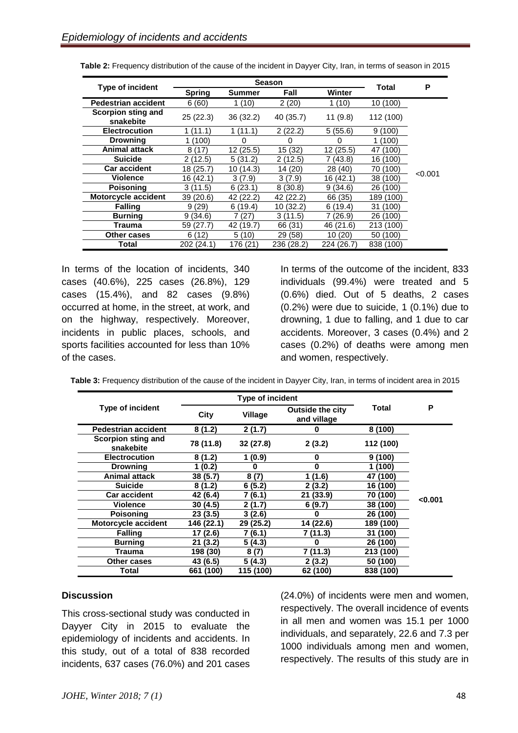| <b>Type of incident</b>         | <b>Season</b> |              |            |            | Total     | P       |
|---------------------------------|---------------|--------------|------------|------------|-----------|---------|
|                                 | <b>Spring</b> | Summer       | Fall       | Winter     |           |         |
| <b>Pedestrian accident</b>      | 6(60)         | 1 (10)       | 2(20)      | 1 (10)     | 10(100)   |         |
| Scorpion sting and<br>snakebite | 25(22.3)      | 36(32.2)     | 40 (35.7)  | 11(9.8)    | 112 (100) |         |
| <b>Electrocution</b>            | (11.1)        | 1 (11.1)     | 2(22.2)    | 5(55.6)    | 9(100)    |         |
| <b>Drowning</b>                 | (100)         | O)           | 0          | O          | 1 (100)   |         |
| Animal attack                   | 8(17)         | 12(25.5)     | 15 (32)    | 12(25.5)   | 47 (100)  |         |
| <b>Suicide</b>                  | 2(12.5)       | 5(31.2)      | 2 (12.5)   | 7 (43.8)   | 16 (100)  |         |
| <b>Car accident</b>             | 18 (25.7)     | 10 (14.3)    | 14 (20)    | 28 (40)    | 70 (100)  |         |
| Violence                        | 16 (42.1)     | 3(7.9)       | 3(7.9)     | 16 (42.1)  | 38 (100)  | < 0.001 |
| Poisoning                       | 3(11.5)       | 6(23.1)      | 8(30.8)    | 9(34.6)    | 26 (100)  |         |
| Motorcycle accident             | 39 (20.6)     | (22.2)<br>42 | 42 (22.2)  | 66 (35)    | 189 (100) |         |
| <b>Falling</b>                  | 9(29)         | 6(19.4)      | 10 (32.2)  | 6(19.4)    | 31 (100)  |         |
| <b>Burning</b>                  | 9(34.6)       | (27)         | 3(11.5)    | 7 (26.9)   | 26 (100)  |         |
| Trauma                          | 59 (27.7)     | 42 (19.7)    | 66 (31)    | 46 (21.6)  | 213 (100) |         |
| Other cases                     | 6 (12)        | 5(10)        | 29 (58)    | 10 (20)    | 50 (100)  |         |
| Total                           | 202 (24.1)    | 176 (21      | 236 (28.2) | 224 (26.7) | 838 (100) |         |

**Table 2:** Frequency distribution of the cause of the incident in Dayyer City, Iran, in terms of season in 2015

In terms of the location of incidents, 340 cases (40.6%), 225 cases (26.8%), 129 cases (15.4%), and 82 cases (9.8%) occurred at home, in the street, at work, and on the highway, respectively. Moreover, incidents in public places, schools, and sports facilities accounted for less than 10% of the cases.

In terms of the outcome of the incident, 833 individuals (99.4%) were treated and 5 (0.6%) died. Out of 5 deaths, 2 cases (0.2%) were due to suicide, 1 (0.1%) due to drowning, 1 due to falling, and 1 due to car accidents. Moreover, 3 cases (0.4%) and 2 cases (0.2%) of deaths were among men and women, respectively.

| Table 3: Frequency distribution of the cause of the incident in Dayyer City, Iran, in terms of incident area in 2015 |  |  |
|----------------------------------------------------------------------------------------------------------------------|--|--|
|                                                                                                                      |  |  |

|                                 |            | <b>Type of incident</b> |                                 |              |         |
|---------------------------------|------------|-------------------------|---------------------------------|--------------|---------|
| <b>Type of incident</b>         | City       | <b>Village</b>          | Outside the city<br>and village | <b>Total</b> | P       |
| <b>Pedestrian accident</b>      | 8(1.2)     | 2(1.7)                  | 0                               | 8(100)       |         |
| Scorpion sting and<br>snakebite | 78 (11.8)  | 32 (27.8)               | 2(3.2)                          | 112 (100)    |         |
| <b>Electrocution</b>            | 8(1.2)     | 1(0.9)                  | 0                               | 9(100)       |         |
| <b>Drowning</b>                 | 1 (0.2)    | ŋ                       | 0                               | (100)        |         |
| <b>Animal attack</b>            | 38 (5.7)   | 8 (7)                   | 1 (1.6)                         | (100)<br>47  |         |
| <b>Suicide</b>                  | 8(1.2)     | 6(5.2)                  | 2 (3.2)                         | (100)<br>16  |         |
| <b>Car accident</b>             | 42 (6.4)   | (6.1)                   | 21 (33.9)                       | (100)<br>70  | < 0.001 |
| <b>Violence</b>                 | 30(4.5)    | 2(1.7)                  | 6(9.7)                          | 38 (100)     |         |
| <b>Poisoning</b>                | 23(3.5)    | 3(2.6)                  | 0                               | 26 (100)     |         |
| Motorcycle accident             | 146 (22.1) | 29 (25.2)               | 14 (22.6)                       | 189 (100)    |         |
| <b>Falling</b>                  | 17 (2.6)   | 7 (6.1)                 | 7 (11.3)                        | 31 (100)     |         |
| <b>Burning</b>                  | 21(3.2)    | 5(4.3)                  | o                               | 26 (100)     |         |
| Trauma                          | 198 (30)   | 8(7)                    | 7 (11.3)                        | 213 (100)    |         |
| Other cases                     | 43 (6.5)   | 5(4.3)                  | 2(3.2)                          | 50 (100)     |         |
| Total                           | 661 (100)  | 115 (100)               | 62 (100)                        | 838 (100)    |         |

#### **Discussion**

This cross-sectional study was conducted in Dayyer City in 2015 to evaluate the epidemiology of incidents and accidents. In this study, out of a total of 838 recorded incidents, 637 cases (76.0%) and 201 cases

(24.0%) of incidents were men and women, respectively. The overall incidence of events in all men and women was 15.1 per 1000 individuals, and separately, 22.6 and 7.3 per 1000 individuals among men and women, respectively. The results of this study are in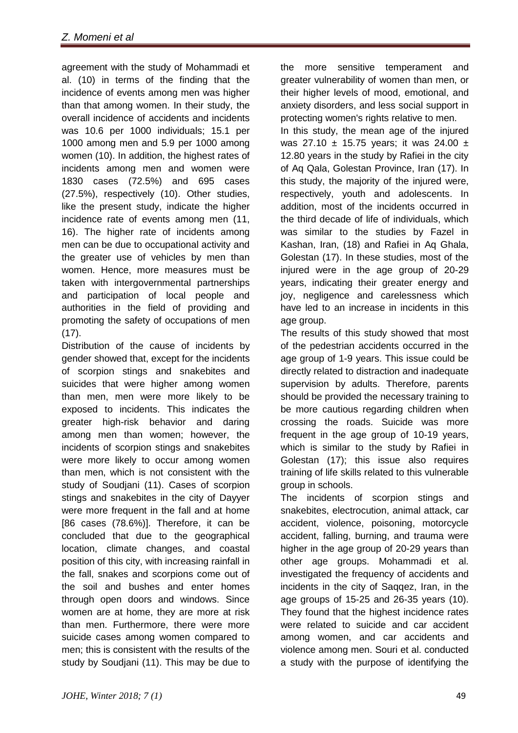agreement with the study of Mohammadi et al. (10) in terms of the finding that the incidence of events among men was higher than that among women. In their study, the overall incidence of accidents and incidents was 10.6 per 1000 individuals; 15.1 per 1000 among men and 5.9 per 1000 among women (10). In addition, the highest rates of incidents among men and women were 1830 cases (72.5%) and 695 cases (27.5%), respectively (10). Other studies, like the present study, indicate the higher incidence rate of events among men (11, 16). The higher rate of incidents among men can be due to occupational activity and the greater use of vehicles by men than women. Hence, more measures must be taken with intergovernmental partnerships and participation of local people and authorities in the field of providing and promoting the safety of occupations of men (17).

Distribution of the cause of incidents by gender showed that, except for the incidents of scorpion stings and snakebites and suicides that were higher among women than men, men were more likely to be exposed to incidents. This indicates the greater high-risk behavior and daring among men than women; however, the incidents of scorpion stings and snakebites were more likely to occur among women than men, which is not consistent with the study of Soudjani (11). Cases of scorpion stings and snakebites in the city of Dayyer were more frequent in the fall and at home [86 cases (78.6%)]. Therefore, it can be concluded that due to the geographical location, climate changes, and coastal position of this city, with increasing rainfall in the fall, snakes and scorpions come out of the soil and bushes and enter homes through open doors and windows. Since women are at home, they are more at risk than men. Furthermore, there were more suicide cases among women compared to men; this is consistent with the results of the study by Soudjani (11). This may be due to

the more sensitive temperament and greater vulnerability of women than men, or their higher levels of mood, emotional, and anxiety disorders, and less social support in protecting women's rights relative to men. In this study, the mean age of the injured

was 27.10 ± 15.75 years; it was 24.00 ± 12.80 years in the study by Rafiei in the city of Aq Qala, Golestan Province, Iran (17). In this study, the majority of the injured were, respectively, youth and adolescents. In addition, most of the incidents occurred in the third decade of life of individuals, which was similar to the studies by Fazel in Kashan, Iran, (18) and Rafiei in Aq Ghala, Golestan (17). In these studies, most of the injured were in the age group of 20-29 years, indicating their greater energy and joy, negligence and carelessness which have led to an increase in incidents in this age group.

The results of this study showed that most of the pedestrian accidents occurred in the age group of 1-9 years. This issue could be directly related to distraction and inadequate supervision by adults. Therefore, parents should be provided the necessary training to be more cautious regarding children when crossing the roads. Suicide was more frequent in the age group of 10-19 years, which is similar to the study by Rafiei in Golestan (17); this issue also requires training of life skills related to this vulnerable group in schools.

The incidents of scorpion stings and snakebites, electrocution, animal attack, car accident, violence, poisoning, motorcycle accident, falling, burning, and trauma were higher in the age group of 20-29 years than other age groups. Mohammadi et al. investigated the frequency of accidents and incidents in the city of Saggez, Iran, in the age groups of 15-25 and 26-35 years (10). They found that the highest incidence rates were related to suicide and car accident among women, and car accidents and violence among men. Souri et al. conducted a study with the purpose of identifying the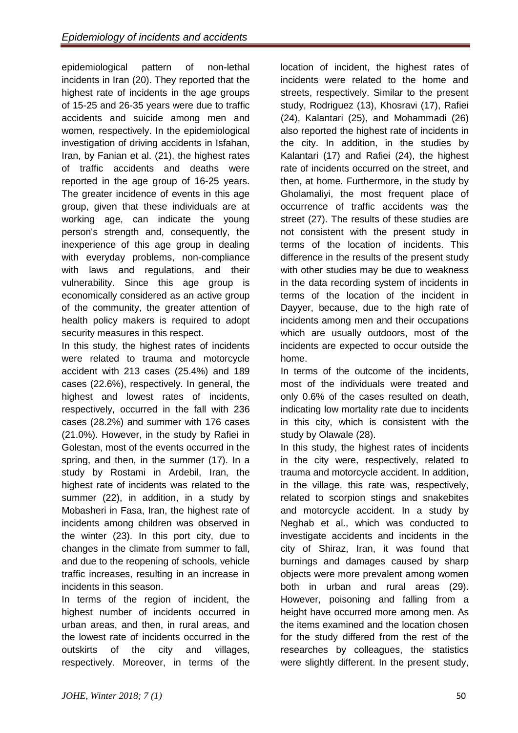epidemiological pattern of non-lethal incidents in Iran (20). They reported that the highest rate of incidents in the age groups of 15-25 and 26-35 years were due to traffic accidents and suicide among men and women, respectively. In the epidemiological investigation of driving accidents in Isfahan, Iran, by Fanian et al. (21), the highest rates of traffic accidents and deaths were reported in the age group of 16-25 years. The greater incidence of events in this age group, given that these individuals are at working age, can indicate the young person's strength and, consequently, the inexperience of this age group in dealing with everyday problems, non-compliance with laws and regulations, and their vulnerability. Since this age group is economically considered as an active group of the community, the greater attention of health policy makers is required to adopt security measures in this respect.

In this study, the highest rates of incidents were related to trauma and motorcycle accident with 213 cases (25.4%) and 189 cases (22.6%), respectively. In general, the highest and lowest rates of incidents, respectively, occurred in the fall with 236 cases (28.2%) and summer with 176 cases (21.0%). However, in the study by Rafiei in Golestan, most of the events occurred in the spring, and then, in the summer (17). In a study by Rostami in Ardebil, Iran, the highest rate of incidents was related to the summer (22), in addition, in a study by Mobasheri in Fasa, Iran, the highest rate of incidents among children was observed in the winter (23). In this port city, due to changes in the climate from summer to fall, and due to the reopening of schools, vehicle traffic increases, resulting in an increase in incidents in this season.

In terms of the region of incident, the highest number of incidents occurred in urban areas, and then, in rural areas, and the lowest rate of incidents occurred in the outskirts of the city and villages, respectively. Moreover, in terms of the

location of incident, the highest rates of incidents were related to the home and streets, respectively. Similar to the present study, Rodriguez (13), Khosravi (17), Rafiei (24), Kalantari (25), and Mohammadi (26) also reported the highest rate of incidents in the city. In addition, in the studies by Kalantari (17) and Rafiei (24), the highest rate of incidents occurred on the street, and then, at home. Furthermore, in the study by Gholamaliyi, the most frequent place of occurrence of traffic accidents was the street (27). The results of these studies are not consistent with the present study in terms of the location of incidents. This difference in the results of the present study with other studies may be due to weakness in the data recording system of incidents in terms of the location of the incident in Dayyer, because, due to the high rate of incidents among men and their occupations which are usually outdoors, most of the incidents are expected to occur outside the home.

In terms of the outcome of the incidents, most of the individuals were treated and only 0.6% of the cases resulted on death, indicating low mortality rate due to incidents in this city, which is consistent with the study by Olawale (28).

In this study, the highest rates of incidents in the city were, respectively, related to trauma and motorcycle accident. In addition, in the village, this rate was, respectively, related to scorpion stings and snakebites and motorcycle accident. In a study by Neghab et al., which was conducted to investigate accidents and incidents in the city of Shiraz, Iran, it was found that burnings and damages caused by sharp objects were more prevalent among women both in urban and rural areas (29). However, poisoning and falling from a height have occurred more among men. As the items examined and the location chosen for the study differed from the rest of the researches by colleagues, the statistics were slightly different. In the present study,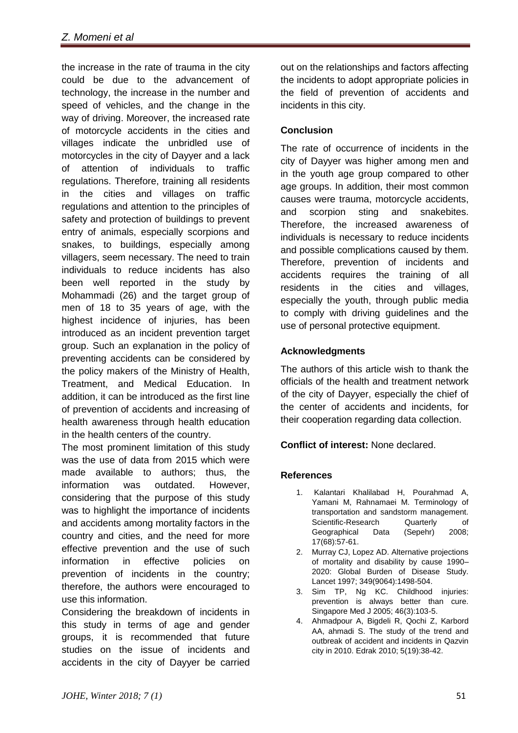the increase in the rate of trauma in the city could be due to the advancement of technology, the increase in the number and speed of vehicles, and the change in the way of driving. Moreover, the increased rate of motorcycle accidents in the cities and villages indicate the unbridled use of motorcycles in the city of Dayyer and a lack of attention of individuals to traffic regulations. Therefore, training all residents in the cities and villages on traffic regulations and attention to the principles of safety and protection of buildings to prevent entry of animals, especially scorpions and snakes, to buildings, especially among villagers, seem necessary. The need to train individuals to reduce incidents has also been well reported in the study by Mohammadi (26) and the target group of men of 18 to 35 years of age, with the highest incidence of injuries, has been introduced as an incident prevention target group. Such an explanation in the policy of preventing accidents can be considered by the policy makers of the Ministry of Health, Treatment, and Medical Education. In addition, it can be introduced as the first line of prevention of accidents and increasing of health awareness through health education in the health centers of the country.

The most prominent limitation of this study was the use of data from 2015 which were made available to authors; thus, the information was outdated. However, considering that the purpose of this study was to highlight the importance of incidents and accidents among mortality factors in the country and cities, and the need for more effective prevention and the use of such information in effective policies on prevention of incidents in the country; therefore, the authors were encouraged to use this information.

Considering the breakdown of incidents in this study in terms of age and gender groups, it is recommended that future studies on the issue of incidents and accidents in the city of Dayyer be carried

out on the relationships and factors affecting the incidents to adopt appropriate policies in the field of prevention of accidents and incidents in this city.

# **Conclusion**

The rate of occurrence of incidents in the city of Dayyer was higher among men and in the youth age group compared to other age groups. In addition, their most common causes were trauma, motorcycle accidents, and scorpion sting and snakebites. Therefore, the increased awareness of individuals is necessary to reduce incidents and possible complications caused by them. Therefore, prevention of incidents and accidents requires the training of all residents in the cities and villages, especially the youth, through public media to comply with driving guidelines and the use of personal protective equipment.

# **Acknowledgments**

The authors of this article wish to thank the officials of the health and treatment network of the city of Dayyer, especially the chief of the center of accidents and incidents, for their cooperation regarding data collection.

# **Conflict of interest:** None declared.

# **References**

- 1. Kalantari Khalilabad H, Pourahmad A, Yamani M, Rahnamaei M. Terminology of transportation and sandstorm management. Scientific-Research Quarterly of Geographical Data (Sepehr) 2008; 17(68):57-61.
- 2. Murray CJ, Lopez AD. Alternative projections of mortality and disability by cause 1990– 2020: Global Burden of Disease Study. Lancet 1997; 349(9064):1498-504.
- 3. Sim TP, Ng KC. Childhood injuries: prevention is always better than cure. Singapore Med J 2005; 46(3):103-5.
- 4. Ahmadpour A, Bigdeli R, Qochi Z, Karbord AA, ahmadi S. The study of the trend and outbreak of accident and incidents in Qazvin city in 2010. Edrak 2010; 5(19):38-42.